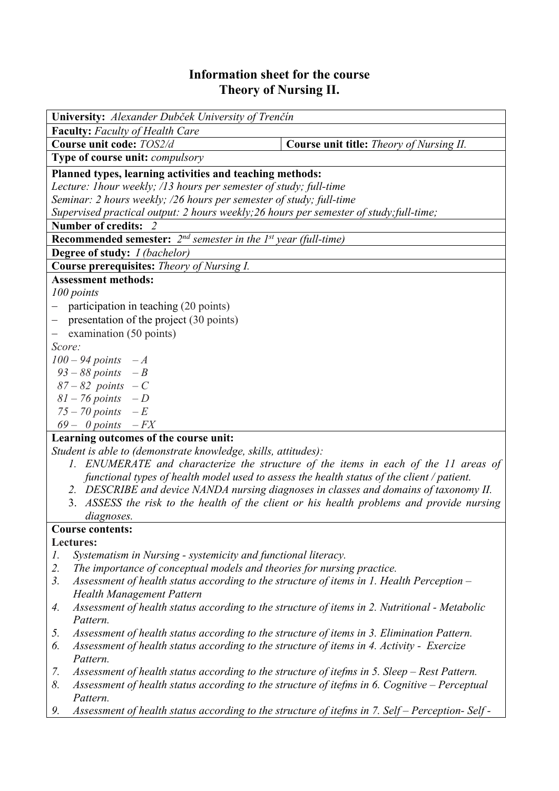## **Information sheet for the course Theory of Nursing II.**

| University: Alexander Dubček University of Trenčín                                      |                                          |  |  |  |
|-----------------------------------------------------------------------------------------|------------------------------------------|--|--|--|
| <b>Faculty:</b> Faculty of Health Care                                                  |                                          |  |  |  |
| Course unit code: TOS2/d                                                                | Course unit title: Theory of Nursing II. |  |  |  |
| Type of course unit: compulsory                                                         |                                          |  |  |  |
| Planned types, learning activities and teaching methods:                                |                                          |  |  |  |
| Lecture: 1hour weekly; /13 hours per semester of study; full-time                       |                                          |  |  |  |
| Seminar: 2 hours weekly; /26 hours per semester of study; full-time                     |                                          |  |  |  |
| Supervised practical output: 2 hours weekly; 26 hours per semester of study; full-time; |                                          |  |  |  |
| <b>Number of credits:</b>                                                               |                                          |  |  |  |
| <b>Recommended semester:</b> $2^{nd}$ semester in the 1 <sup>st</sup> year (full-time)  |                                          |  |  |  |
| <b>Degree of study:</b> <i>I (bachelor)</i>                                             |                                          |  |  |  |
| Course prerequisites: Theory of Nursing I.                                              |                                          |  |  |  |
| <b>Assessment methods:</b>                                                              |                                          |  |  |  |
| 100 points                                                                              |                                          |  |  |  |
| participation in teaching (20 points)                                                   |                                          |  |  |  |
| $-$ presentation of the project (30 points)                                             |                                          |  |  |  |
| $-$ examination (50 points)                                                             |                                          |  |  |  |
| Score:                                                                                  |                                          |  |  |  |
| $100 - 94$ points $-A$                                                                  |                                          |  |  |  |
| $93 - 88$ points $-B$                                                                   |                                          |  |  |  |
| $87 - 82$ points $-C$                                                                   |                                          |  |  |  |
| $81 - 76$ points $-D$                                                                   |                                          |  |  |  |
| $75 - 70$ points $-E$                                                                   |                                          |  |  |  |
| $69 - 0$ points $-FX$                                                                   |                                          |  |  |  |
| Learning outcomes of the course unit:                                                   |                                          |  |  |  |
| Student is able to (demonstrate knowledge, skills, attitudes):                          |                                          |  |  |  |

- *1. ENUMERATE and characterize the structure of the items in each of the 11 areas of functional types of health model used to assess the health status of the client / patient.*
- *2. DESCRIBE and device NANDA nursing diagnoses in classes and domains of taxonomy II.*
- 3. *ASSESS the risk to the health of the client or his health problems and provide nursing diagnoses.*

## **Course contents:**

## **Lectures:**

- *1. Systematism in Nursing systemicity and functional literacy.*
- *2. The importance of conceptual models and theories for nursing practice.*
- *3. Assessment of health status according to the structure of items in 1. Health Perception Health Management Pattern*
- *4. Assessment of health status according to the structure of items in 2. Nutritional Metabolic Pattern.*
- *5. Assessment of health status according to the structure of items in 3. Elimination Pattern.*
- *6. Assessment of health status according to the structure of items in 4. Activity Exercize Pattern.*
- *7. Assessment of health status according to the structure of itefms in 5. Sleep Rest Pattern.*
- *8. Assessment of health status according to the structure of itefms in 6. Cognitive Perceptual Pattern.*
- *9. Assessment of health status according to the structure of itefms in 7. Self Perception- Self*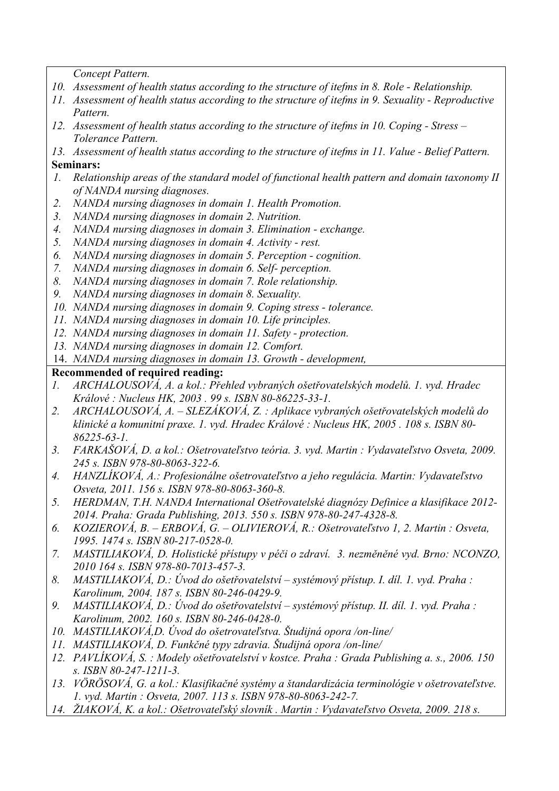*Concept Pattern.* 

- *10. Assessment of health status according to the structure of itefms in 8. Role Relationship.*
- *11. Assessment of health status according to the structure of itefms in 9. Sexuality Reproductive Pattern.*
- *12. Assessment of health status according to the structure of itefms in 10. Coping Stress – Tolerance Pattern.*

*13. Assessment of health status according to the structure of itefms in 11. Value - Belief Pattern.*  **Seminars:** 

- *1. Relationship areas of the standard model of functional health pattern and domain taxonomy II of NANDA nursing diagnoses.*
- *2. NANDA nursing diagnoses in domain 1. Health Promotion.*
- *3. NANDA nursing diagnoses in domain 2. Nutrition.*
- *4. NANDA nursing diagnoses in domain 3. Elimination exchange.*
- *5. NANDA nursing diagnoses in domain 4. Activity rest.*
- *6. NANDA nursing diagnoses in domain 5. Perception cognition.*
- *7. NANDA nursing diagnoses in domain 6. Self- perception.*
- *8. NANDA nursing diagnoses in domain 7. Role relationship.*
- *9. NANDA nursing diagnoses in domain 8. Sexuality.*
- *10. NANDA nursing diagnoses in domain 9. Coping stress tolerance.*
- *11. NANDA nursing diagnoses in domain 10. Life principles.*
- *12. NANDA nursing diagnoses in domain 11. Safety protection.*
- *13. NANDA nursing diagnoses in domain 12. Comfort.*
- 14. *NANDA nursing diagnoses in domain 13. Growth development,*

## **Recommended of required reading:**

- *1. ARCHALOUSOVÁ, A. a kol.: Přehled vybraných ošetřovatelských modelů. 1. vyd. Hradec Králové : Nucleus HK, 2003 . 99 s. ISBN 80-86225-33-1.*
- *2. ARCHALOUSOVÁ, A. SLEZÁKOVÁ, Z. : Aplikace vybraných ošetřovatelských modelů do klinické a komunitní praxe. 1. vyd. Hradec Králové : Nucleus HK, 2005 . 108 s. ISBN 80- 86225-63-1.*
- *3. FARKAŠOVÁ, D. a kol.: Ošetrovateľstvo teória. 3. vyd. Martin : Vydavateľstvo Osveta, 2009. 245 s. ISBN 978-80-8063-322-6.*
- *4. HANZLÍKOVÁ, A.: Profesionálne ošetrovateľstvo a jeho regulácia. Martin: Vydavateľstvo Osveta, 2011. 156 s. ISBN 978-80-8063-360-8.*
- *5. HERDMAN, T.H. NANDA International Ošetřovatelské diagnózy Definice a klasifikace 2012- 2014. Praha: Grada Publishing, 2013. 550 s. ISBN 978-80-247-4328-8.*
- *6. KOZIEROVÁ, B. ERBOVÁ, G. OLIVIEROVÁ, R.: Ošetrovateľstvo 1, 2. Martin : Osveta, 1995. 1474 s. ISBN 80-217-0528-0.*
- *7. MASTILIAKOVÁ, D. Holistické přístupy v péči o zdraví. 3. nezměněné vyd. Brno: NCONZO, 2010 164 s. ISBN 978-80-7013-457-3.*
- *8. MASTILIAKOVÁ, D.: Úvod do ošetřovatelství systémový přístup. I. díl. 1. vyd. Praha : Karolinum, 2004. 187 s. ISBN 80-246-0429-9.*
- *9. MASTILIAKOVÁ, D.: Úvod do ošetřovatelství systémový přístup. II. díl. 1. vyd. Praha : Karolinum, 2002. 160 s. ISBN 80-246-0428-0.*
- *10. MASTILIAKOVÁ,D. Úvod do ošetrovateľstva. Študijná opora /on-line/*
- *11. MASTILIAKOVÁ, D. Funkčné typy zdravia. Študijná opora /on-line/*
- *12. PAVLÍKOVÁ, S. : Modely ošetřovatelství v kostce. Praha : Grada Publishing a. s., 2006. 150 s. ISBN 80-247-1211-3.*
- *13. VÖRÖSOVÁ, G. a kol.: Klasifikačné systémy a štandardizácia terminológie v ošetrovateľstve. 1. vyd. Martin : Osveta, 2007. 113 s. ISBN 978-80-8063-242-7.*
- *14. ŽIAKOVÁ, K. a kol.: Ošetrovateľský slovník . Martin : Vydavateľstvo Osveta, 2009. 218 s.*